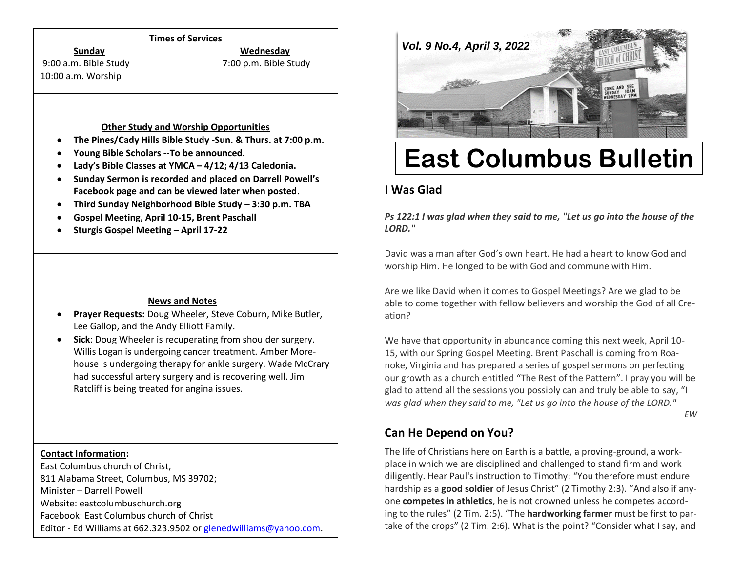## **Times of Services**

**Sunday Wednesday**

10:00 a.m. Worship

9:00 a.m. Bible Study 7:00 p.m. Bible Study

#### **Other Study and Worship Opportunities**

- **The Pines/Cady Hills Bible Study -Sun. & Thurs. at 7:00 p.m.**
- **Young Bible Scholars --To be announced.**
- **Lady's Bible Classes at YMCA – 4/12; 4/13 Caledonia.**
- **Sunday Sermon is recorded and placed on Darrell Powell's Facebook page and can be viewed later when posted.**
- **Third Sunday Neighborhood Bible Study – 3:30 p.m. TBA**
- **Gospel Meeting, April 10-15, Brent Paschall**
- **Sturgis Gospel Meeting – April 17-22**

## **News and Notes**

- **Prayer Requests:** Doug Wheeler, Steve Coburn, Mike Butler, Lee Gallop, and the Andy Elliott Family.
- **Sick**: Doug Wheeler is recuperating from shoulder surgery. Willis Logan is undergoing cancer treatment. Amber Morehouse is undergoing therapy for ankle surgery. Wade McCrary had successful artery surgery and is recovering well. Jim Ratcliff is being treated for angina issues.

## **Contact Information:**

East Columbus church of Christ, 811 Alabama Street, Columbus, MS 39702; Minister – Darrell Powell Website: eastcolumbuschurch.org Facebook: East Columbus church of Christ Editor - Ed Williams at 662.323.9502 o[r glenedwilliams@yahoo.com.](mailto:glenedwilliams@yahoo.com)



# **East Columbus Bulletin**

## **I Was Glad**

*Ps 122:1 I was glad when they said to me, "Let us go into the house of the LORD."*

David was a man after God's own heart. He had a heart to know God and worship Him. He longed to be with God and commune with Him.

Are we like David when it comes to Gospel Meetings? Are we glad to be able to come together with fellow believers and worship the God of all Creation?

We have that opportunity in abundance coming this next week, April 10- 15, with our Spring Gospel Meeting. Brent Paschall is coming from Roanoke, Virginia and has prepared a series of gospel sermons on perfecting our growth as a church entitled "The Rest of the Pattern". I pray you will be glad to attend all the sessions you possibly can and truly be able to say, "I *was glad when they said to me, "Let us go into the house of the LORD."*

*EW* 

## **Can He Depend on You?**

The life of Christians here on Earth is a battle, a proving-ground, a workplace in which we are disciplined and challenged to stand firm and work diligently. Hear Paul's instruction to Timothy: "You therefore must endure hardship as a **good soldier** of Jesus Christ" (2 Timothy 2:3). "And also if anyone **competes in athletics**, he is not crowned unless he competes according to the rules" (2 Tim. 2:5). "The **hardworking farmer** must be first to partake of the crops" (2 Tim. 2:6). What is the point? "Consider what I say, and